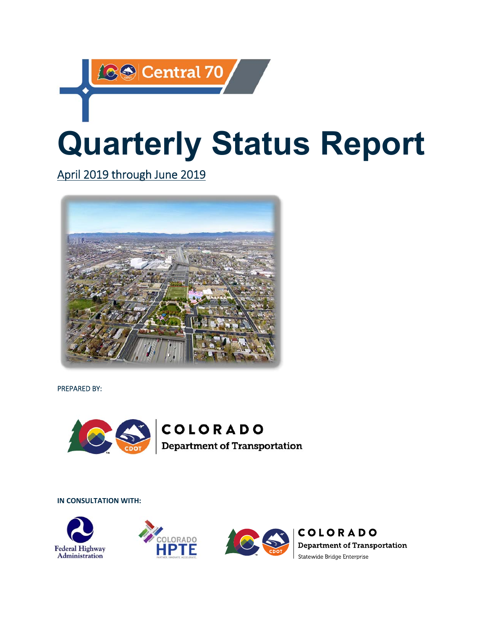# **89 Central 70 Quarterly Status Report**

April 2019 through June 2019



PREPARED BY:



#### **IN CONSULTATION WITH:**







**COLORADO Department of Transportation** Statewide Bridge Enterprise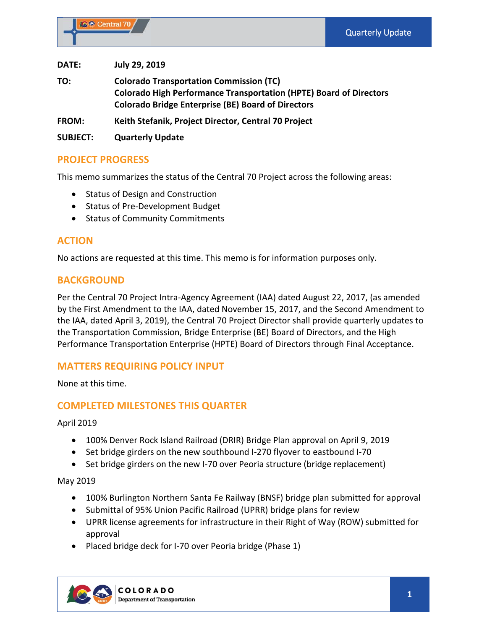**DATE: July 29, 2019** 

**TO: Colorado Transportation Commission (TC) Colorado High Performance Transportation (HPTE) Board of Directors Colorado Bridge Enterprise (BE) Board of Directors** 

**FROM: Keith Stefanik, Project Director, Central 70 Project** 

**SUBJECT: Quarterly Update** 

#### **PROJECT PROGRESS**

This memo summarizes the status of the Central 70 Project across the following areas:

- Status of Design and Construction
- Status of Pre-Development Budget
- Status of Community Commitments

## **ACTION**

No actions are requested at this time. This memo is for information purposes only.

#### **BACKGROUND**

Per the Central 70 Project Intra‐Agency Agreement (IAA) dated August 22, 2017, (as amended by the First Amendment to the IAA, dated November 15, 2017, and the Second Amendment to the IAA, dated April 3, 2019), the Central 70 Project Director shall provide quarterly updates to the Transportation Commission, Bridge Enterprise (BE) Board of Directors, and the High Performance Transportation Enterprise (HPTE) Board of Directors through Final Acceptance.

## **MATTERS REQUIRING POLICY INPUT**

None at this time.

## **COMPLETED MILESTONES THIS QUARTER**

April 2019

- 100% Denver Rock Island Railroad (DRIR) Bridge Plan approval on April 9, 2019
- Set bridge girders on the new southbound I-270 flyover to eastbound I-70
- Set bridge girders on the new I-70 over Peoria structure (bridge replacement)

May 2019

- 100% Burlington Northern Santa Fe Railway (BNSF) bridge plan submitted for approval
- Submittal of 95% Union Pacific Railroad (UPRR) bridge plans for review
- UPRR license agreements for infrastructure in their Right of Way (ROW) submitted for approval
- Placed bridge deck for I-70 over Peoria bridge (Phase 1)

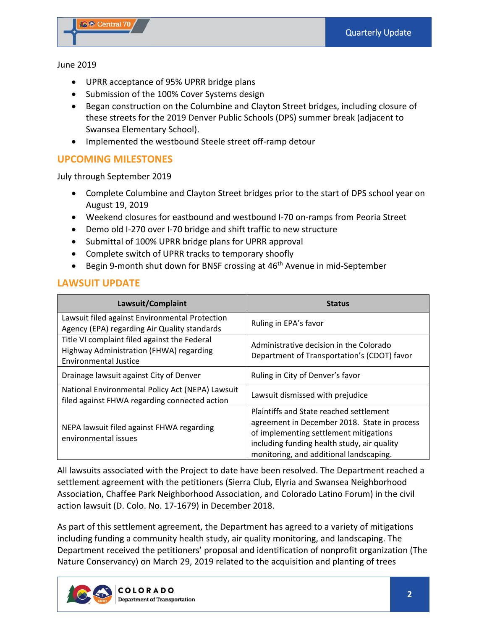#### June 2019

- UPRR acceptance of 95% UPRR bridge plans
- Submission of the 100% Cover Systems design
- Began construction on the Columbine and Clayton Street bridges, including closure of these streets for the 2019 Denver Public Schools (DPS) summer break (adjacent to Swansea Elementary School).
- Implemented the westbound Steele street off-ramp detour

# **UPCOMING MILESTONES**

July through September 2019

- Complete Columbine and Clayton Street bridges prior to the start of DPS school year on August 19, 2019
- Weekend closures for eastbound and westbound I‐70 on‐ramps from Peoria Street
- Demo old I-270 over I-70 bridge and shift traffic to new structure
- Submittal of 100% UPRR bridge plans for UPRR approval
- Complete switch of UPRR tracks to temporary shoofly
- Begin 9-month shut down for BNSF crossing at 46<sup>th</sup> Avenue in mid-September

## **LAWSUIT UPDATE**

| Lawsuit/Complaint                                                                                                | <b>Status</b>                                                                          |
|------------------------------------------------------------------------------------------------------------------|----------------------------------------------------------------------------------------|
| Lawsuit filed against Environmental Protection<br>Agency (EPA) regarding Air Quality standards                   | Ruling in EPA's favor                                                                  |
| Title VI complaint filed against the Federal<br>Highway Administration (FHWA) regarding<br>Environmental Justice | Administrative decision in the Colorado<br>Department of Transportation's (CDOT) favor |
| Drainage lawsuit against City of Denver                                                                          | Ruling in City of Denver's favor                                                       |
| National Environmental Policy Act (NEPA) Lawsuit<br>filed against FHWA regarding connected action                | Lawsuit dismissed with prejudice                                                       |
|                                                                                                                  | Plaintiffs and State reached settlement                                                |
| NEPA lawsuit filed against FHWA regarding                                                                        | agreement in December 2018. State in process                                           |
| environmental issues                                                                                             | of implementing settlement mitigations                                                 |
|                                                                                                                  | including funding health study, air quality                                            |
|                                                                                                                  | monitoring, and additional landscaping.                                                |

All lawsuits associated with the Project to date have been resolved. The Department reached a settlement agreement with the petitioners (Sierra Club, Elyria and Swansea Neighborhood Association, Chaffee Park Neighborhood Association, and Colorado Latino Forum) in the civil action lawsuit (D. Colo. No. 17‐1679) in December 2018.

As part of this settlement agreement, the Department has agreed to a variety of mitigations including funding a community health study, air quality monitoring, and landscaping. The Department received the petitioners' proposal and identification of nonprofit organization (The Nature Conservancy) on March 29, 2019 related to the acquisition and planting of trees

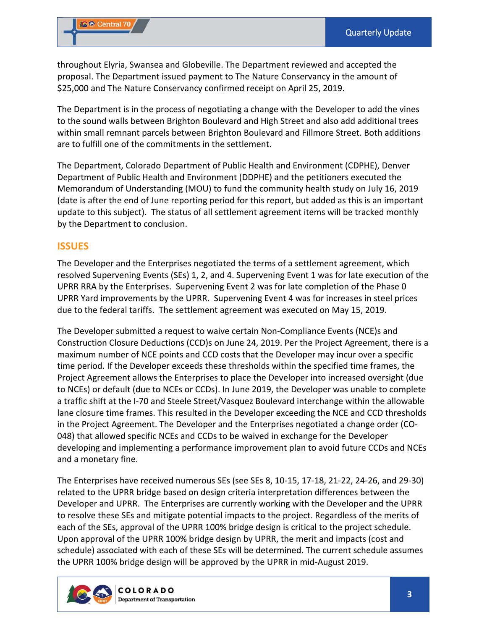throughout Elyria, Swansea and Globeville. The Department reviewed and accepted the proposal. The Department issued payment to The Nature Conservancy in the amount of \$25,000 and The Nature Conservancy confirmed receipt on April 25, 2019.

The Department is in the process of negotiating a change with the Developer to add the vines to the sound walls between Brighton Boulevard and High Street and also add additional trees within small remnant parcels between Brighton Boulevard and Fillmore Street. Both additions are to fulfill one of the commitments in the settlement.

The Department, Colorado Department of Public Health and Environment (CDPHE), Denver Department of Public Health and Environment (DDPHE) and the petitioners executed the Memorandum of Understanding (MOU) to fund the community health study on July 16, 2019 (date is after the end of June reporting period for this report, but added as this is an important update to this subject). The status of all settlement agreement items will be tracked monthly by the Department to conclusion.

#### **ISSUES**

The Developer and the Enterprises negotiated the terms of a settlement agreement, which resolved Supervening Events (SEs) 1, 2, and 4. Supervening Event 1 was for late execution of the UPRR RRA by the Enterprises. Supervening Event 2 was for late completion of the Phase 0 UPRR Yard improvements by the UPRR. Supervening Event 4 was for increases in steel prices due to the federal tariffs. The settlement agreement was executed on May 15, 2019.

The Developer submitted a request to waive certain Non‐Compliance Events (NCE)s and Construction Closure Deductions (CCD)s on June 24, 2019. Per the Project Agreement, there is a maximum number of NCE points and CCD costs that the Developer may incur over a specific time period. If the Developer exceeds these thresholds within the specified time frames, the Project Agreement allows the Enterprises to place the Developer into increased oversight (due to NCEs) or default (due to NCEs or CCDs). In June 2019, the Developer was unable to complete a traffic shift at the I‐70 and Steele Street/Vasquez Boulevard interchange within the allowable lane closure time frames. This resulted in the Developer exceeding the NCE and CCD thresholds in the Project Agreement. The Developer and the Enterprises negotiated a change order (CO‐ 048) that allowed specific NCEs and CCDs to be waived in exchange for the Developer developing and implementing a performance improvement plan to avoid future CCDs and NCEs and a monetary fine.

The Enterprises have received numerous SEs (see SEs 8, 10‐15, 17‐18, 21‐22, 24‐26, and 29‐30) related to the UPRR bridge based on design criteria interpretation differences between the Developer and UPRR. The Enterprises are currently working with the Developer and the UPRR to resolve these SEs and mitigate potential impacts to the project. Regardless of the merits of each of the SEs, approval of the UPRR 100% bridge design is critical to the project schedule. Upon approval of the UPRR 100% bridge design by UPRR, the merit and impacts (cost and schedule) associated with each of these SEs will be determined. The current schedule assumes the UPRR 100% bridge design will be approved by the UPRR in mid‐August 2019.

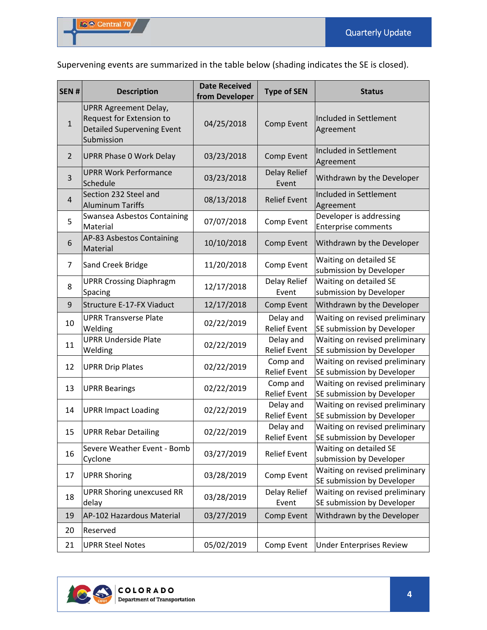Supervening events are summarized in the table below (shading indicates the SE is closed).

| SEN#           | <b>Description</b>                                                                                          | <b>Date Received</b><br>from Developer | <b>Type of SEN</b>               | <b>Status</b>                                                |
|----------------|-------------------------------------------------------------------------------------------------------------|----------------------------------------|----------------------------------|--------------------------------------------------------------|
| $\mathbf{1}$   | <b>UPRR Agreement Delay,</b><br>Request for Extension to<br><b>Detailed Supervening Event</b><br>Submission | 04/25/2018                             | Comp Event                       | Included in Settlement<br>Agreement                          |
| $\overline{2}$ | <b>UPRR Phase 0 Work Delay</b>                                                                              | 03/23/2018                             | Comp Event                       | Included in Settlement<br>Agreement                          |
| 3              | <b>UPRR Work Performance</b><br>Schedule                                                                    | 03/23/2018                             | Delay Relief<br>Event            | Withdrawn by the Developer                                   |
| $\overline{4}$ | Section 232 Steel and<br><b>Aluminum Tariffs</b>                                                            | 08/13/2018                             | <b>Relief Event</b>              | Included in Settlement<br>Agreement                          |
| 5              | Swansea Asbestos Containing<br>Material                                                                     | 07/07/2018                             | Comp Event                       | Developer is addressing<br><b>Enterprise comments</b>        |
| 6              | AP-83 Asbestos Containing<br>Material                                                                       | 10/10/2018                             | Comp Event                       | Withdrawn by the Developer                                   |
| $\overline{7}$ | Sand Creek Bridge                                                                                           | 11/20/2018                             | Comp Event                       | Waiting on detailed SE<br>submission by Developer            |
| 8              | <b>UPRR Crossing Diaphragm</b><br>Spacing                                                                   | 12/17/2018                             | Delay Relief<br>Event            | Waiting on detailed SE<br>submission by Developer            |
| 9              | Structure E-17-FX Viaduct                                                                                   | 12/17/2018                             | Comp Event                       | Withdrawn by the Developer                                   |
| 10             | <b>UPRR Transverse Plate</b><br>Welding                                                                     | 02/22/2019                             | Delay and<br><b>Relief Event</b> | Waiting on revised preliminary<br>SE submission by Developer |
| 11             | <b>UPRR Underside Plate</b><br>Welding                                                                      | 02/22/2019                             | Delay and<br><b>Relief Event</b> | Waiting on revised preliminary<br>SE submission by Developer |
| 12             | <b>UPRR Drip Plates</b>                                                                                     | 02/22/2019                             | Comp and<br><b>Relief Event</b>  | Waiting on revised preliminary<br>SE submission by Developer |
| 13             | <b>UPRR Bearings</b>                                                                                        | 02/22/2019                             | Comp and<br><b>Relief Event</b>  | Waiting on revised preliminary<br>SE submission by Developer |
| 14             | <b>UPRR Impact Loading</b>                                                                                  | 02/22/2019                             | Delay and<br><b>Relief Event</b> | Waiting on revised preliminary<br>SE submission by Developer |
| 15             | <b>UPRR Rebar Detailing</b>                                                                                 | 02/22/2019                             | Delay and<br><b>Relief Event</b> | Waiting on revised preliminary<br>SE submission by Developer |
| 16             | Severe Weather Event - Bomb<br>Cyclone                                                                      | 03/27/2019                             | <b>Relief Event</b>              | Waiting on detailed SE<br>submission by Developer            |
| 17             | <b>UPRR Shoring</b>                                                                                         | 03/28/2019                             | Comp Event                       | Waiting on revised preliminary<br>SE submission by Developer |
| 18             | <b>UPRR Shoring unexcused RR</b><br>delay                                                                   | 03/28/2019                             | Delay Relief<br>Event            | Waiting on revised preliminary<br>SE submission by Developer |
| 19             | AP-102 Hazardous Material                                                                                   | 03/27/2019                             | Comp Event                       | Withdrawn by the Developer                                   |
| 20             | Reserved                                                                                                    |                                        |                                  |                                                              |
| 21             | <b>UPRR Steel Notes</b>                                                                                     | 05/02/2019                             | Comp Event                       | <b>Under Enterprises Review</b>                              |

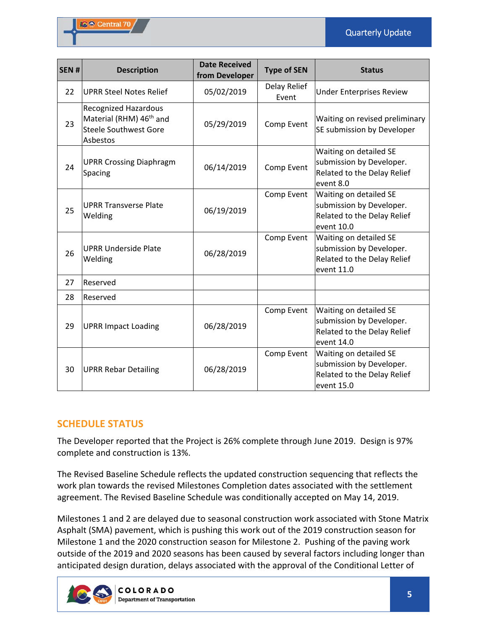| SEN# | <b>Description</b>                                                                                             | <b>Date Received</b><br>from Developer | <b>Type of SEN</b>    | <b>Status</b>                                                                                   |
|------|----------------------------------------------------------------------------------------------------------------|----------------------------------------|-----------------------|-------------------------------------------------------------------------------------------------|
| 22   | <b>UPRR Steel Notes Relief</b>                                                                                 | 05/02/2019                             | Delay Relief<br>Event | <b>Under Enterprises Review</b>                                                                 |
| 23   | <b>Recognized Hazardous</b><br>Material (RHM) 46 <sup>th</sup> and<br><b>Steele Southwest Gore</b><br>Asbestos | 05/29/2019                             | Comp Event            | Waiting on revised preliminary<br>SE submission by Developer                                    |
| 24   | <b>UPRR Crossing Diaphragm</b><br><b>Spacing</b>                                                               | 06/14/2019                             | Comp Event            | Waiting on detailed SE<br>submission by Developer.<br>Related to the Delay Relief<br>event 8.0  |
| 25   | <b>UPRR Transverse Plate</b><br>Welding                                                                        | 06/19/2019                             | Comp Event            | Waiting on detailed SE<br>submission by Developer.<br>Related to the Delay Relief<br>event 10.0 |
| 26   | <b>UPRR Underside Plate</b><br>Welding                                                                         | 06/28/2019                             | Comp Event            | Waiting on detailed SE<br>submission by Developer.<br>Related to the Delay Relief<br>event 11.0 |
| 27   | Reserved                                                                                                       |                                        |                       |                                                                                                 |
| 28   | Reserved                                                                                                       |                                        |                       |                                                                                                 |
| 29   | <b>UPRR Impact Loading</b>                                                                                     | 06/28/2019                             | Comp Event            | Waiting on detailed SE<br>submission by Developer.<br>Related to the Delay Relief<br>event 14.0 |
| 30   | <b>UPRR Rebar Detailing</b>                                                                                    | 06/28/2019                             | Comp Event            | Waiting on detailed SE<br>submission by Developer.<br>Related to the Delay Relief<br>event 15.0 |

# **SCHEDULE STATUS**

The Developer reported that the Project is 26% complete through June 2019. Design is 97% complete and construction is 13%.

The Revised Baseline Schedule reflects the updated construction sequencing that reflects the work plan towards the revised Milestones Completion dates associated with the settlement agreement. The Revised Baseline Schedule was conditionally accepted on May 14, 2019.

Milestones 1 and 2 are delayed due to seasonal construction work associated with Stone Matrix Asphalt (SMA) pavement, which is pushing this work out of the 2019 construction season for Milestone 1 and the 2020 construction season for Milestone 2. Pushing of the paving work outside of the 2019 and 2020 seasons has been caused by several factors including longer than anticipated design duration, delays associated with the approval of the Conditional Letter of

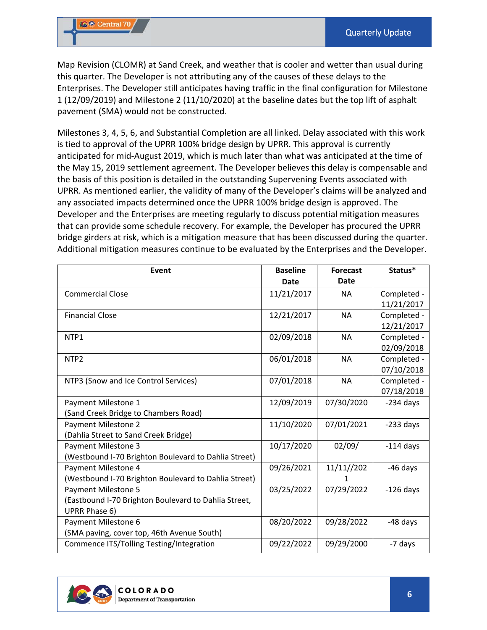Map Revision (CLOMR) at Sand Creek, and weather that is cooler and wetter than usual during this quarter. The Developer is not attributing any of the causes of these delays to the Enterprises. The Developer still anticipates having traffic in the final configuration for Milestone 1 (12/09/2019) and Milestone 2 (11/10/2020) at the baseline dates but the top lift of asphalt pavement (SMA) would not be constructed.

Milestones 3, 4, 5, 6, and Substantial Completion are all linked. Delay associated with this work is tied to approval of the UPRR 100% bridge design by UPRR. This approval is currently anticipated for mid‐August 2019, which is much later than what was anticipated at the time of the May 15, 2019 settlement agreement. The Developer believes this delay is compensable and the basis of this position is detailed in the outstanding Supervening Events associated with UPRR. As mentioned earlier, the validity of many of the Developer's claims will be analyzed and any associated impacts determined once the UPRR 100% bridge design is approved. The Developer and the Enterprises are meeting regularly to discuss potential mitigation measures that can provide some schedule recovery. For example, the Developer has procured the UPRR bridge girders at risk, which is a mitigation measure that has been discussed during the quarter. Additional mitigation measures continue to be evaluated by the Enterprises and the Developer.

| Event                                                | <b>Baseline</b> | <b>Forecast</b> | Status*     |
|------------------------------------------------------|-----------------|-----------------|-------------|
|                                                      | <b>Date</b>     | <b>Date</b>     |             |
| <b>Commercial Close</b>                              | 11/21/2017      | <b>NA</b>       | Completed - |
|                                                      |                 |                 | 11/21/2017  |
| <b>Financial Close</b>                               | 12/21/2017      | <b>NA</b>       | Completed - |
|                                                      |                 |                 | 12/21/2017  |
| NTP1                                                 | 02/09/2018      | <b>NA</b>       | Completed - |
|                                                      |                 |                 | 02/09/2018  |
| NTP <sub>2</sub>                                     | 06/01/2018      | <b>NA</b>       | Completed - |
|                                                      |                 |                 | 07/10/2018  |
| NTP3 (Snow and Ice Control Services)                 | 07/01/2018      | <b>NA</b>       | Completed - |
|                                                      |                 |                 | 07/18/2018  |
| Payment Milestone 1                                  | 12/09/2019      | 07/30/2020      | $-234$ days |
| (Sand Creek Bridge to Chambers Road)                 |                 |                 |             |
| Payment Milestone 2                                  | 11/10/2020      | 07/01/2021      | $-233$ days |
| (Dahlia Street to Sand Creek Bridge)                 |                 |                 |             |
| Payment Milestone 3                                  | 10/17/2020      | 02/09/          | $-114$ days |
| (Westbound I-70 Brighton Boulevard to Dahlia Street) |                 |                 |             |
| Payment Milestone 4                                  | 09/26/2021      | 11/11//202      | $-46$ days  |
| (Westbound I-70 Brighton Boulevard to Dahlia Street) |                 | 1               |             |
| Payment Milestone 5                                  | 03/25/2022      | 07/29/2022      | $-126$ days |
| (Eastbound I-70 Brighton Boulevard to Dahlia Street, |                 |                 |             |
| UPRR Phase 6)                                        |                 |                 |             |
| Payment Milestone 6                                  | 08/20/2022      | 09/28/2022      | -48 days    |
| (SMA paving, cover top, 46th Avenue South)           |                 |                 |             |
| Commence ITS/Tolling Testing/Integration             | 09/22/2022      | 09/29/2000      | -7 days     |

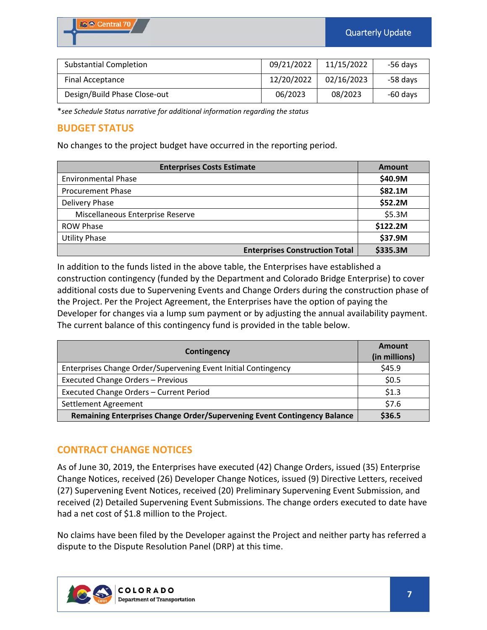| <b>Substantial Completion</b> | 09/21/2022 | 11/15/2022 | -56 days |
|-------------------------------|------------|------------|----------|
| Final Acceptance              | 12/20/2022 | 02/16/2023 | -58 days |
| Design/Build Phase Close-out  | 06/2023    | 08/2023    | -60 days |

\**see Schedule Status narrative for additional information regarding the status*

## **BUDGET STATUS**

No changes to the project budget have occurred in the reporting period.

| <b>Enterprises Costs Estimate</b>     | <b>Amount</b> |
|---------------------------------------|---------------|
| <b>Environmental Phase</b>            | \$40.9M       |
| <b>Procurement Phase</b>              | \$82.1M       |
| Delivery Phase                        | \$52.2M       |
| Miscellaneous Enterprise Reserve      | \$5.3M        |
| <b>ROW Phase</b>                      | \$122.2M      |
| <b>Utility Phase</b>                  | \$37.9M       |
| <b>Enterprises Construction Total</b> | \$335.3M      |

In addition to the funds listed in the above table, the Enterprises have established a construction contingency (funded by the Department and Colorado Bridge Enterprise) to cover additional costs due to Supervening Events and Change Orders during the construction phase of the Project. Per the Project Agreement, the Enterprises have the option of paying the Developer for changes via a lump sum payment or by adjusting the annual availability payment. The current balance of this contingency fund is provided in the table below.

| Contingency                                                              | Amount<br>(in millions) |
|--------------------------------------------------------------------------|-------------------------|
| Enterprises Change Order/Supervening Event Initial Contingency           | \$45.9                  |
| Executed Change Orders - Previous                                        | \$0.5                   |
| Executed Change Orders - Current Period                                  | \$1.3                   |
| Settlement Agreement                                                     | \$7.6                   |
| Remaining Enterprises Change Order/Supervening Event Contingency Balance | \$36.5                  |

# **CONTRACT CHANGE NOTICES**

As of June 30, 2019, the Enterprises have executed (42) Change Orders, issued (35) Enterprise Change Notices, received (26) Developer Change Notices, issued (9) Directive Letters, received (27) Supervening Event Notices, received (20) Preliminary Supervening Event Submission, and received (2) Detailed Supervening Event Submissions. The change orders executed to date have had a net cost of \$1.8 million to the Project.

No claims have been filed by the Developer against the Project and neither party has referred a dispute to the Dispute Resolution Panel (DRP) at this time.

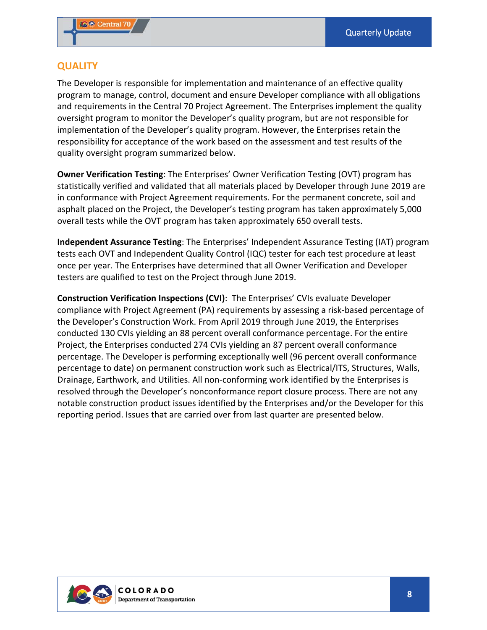## **QUALITY**

The Developer is responsible for implementation and maintenance of an effective quality program to manage, control, document and ensure Developer compliance with all obligations and requirements in the Central 70 Project Agreement. The Enterprises implement the quality oversight program to monitor the Developer's quality program, but are not responsible for implementation of the Developer's quality program. However, the Enterprises retain the responsibility for acceptance of the work based on the assessment and test results of the quality oversight program summarized below.

**Owner Verification Testing**: The Enterprises' Owner Verification Testing (OVT) program has statistically verified and validated that all materials placed by Developer through June 2019 are in conformance with Project Agreement requirements. For the permanent concrete, soil and asphalt placed on the Project, the Developer's testing program has taken approximately 5,000 overall tests while the OVT program has taken approximately 650 overall tests.

**Independent Assurance Testing**: The Enterprises' Independent Assurance Testing (IAT) program tests each OVT and Independent Quality Control (IQC) tester for each test procedure at least once per year. The Enterprises have determined that all Owner Verification and Developer testers are qualified to test on the Project through June 2019.

**Construction Verification Inspections (CVI)**: The Enterprises' CVIs evaluate Developer compliance with Project Agreement (PA) requirements by assessing a risk‐based percentage of the Developer's Construction Work. From April 2019 through June 2019, the Enterprises conducted 130 CVIs yielding an 88 percent overall conformance percentage. For the entire Project, the Enterprises conducted 274 CVIs yielding an 87 percent overall conformance percentage. The Developer is performing exceptionally well (96 percent overall conformance percentage to date) on permanent construction work such as Electrical/ITS, Structures, Walls, Drainage, Earthwork, and Utilities. All non‐conforming work identified by the Enterprises is resolved through the Developer's nonconformance report closure process. There are not any notable construction product issues identified by the Enterprises and/or the Developer for this reporting period. Issues that are carried over from last quarter are presented below.

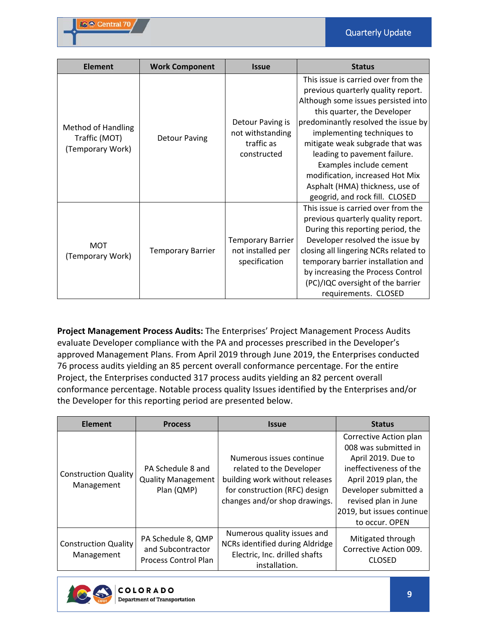| <b>Element</b>                                          | <b>Work Component</b>    | <b>Issue</b>                                                      | <b>Status</b>                                                                                                                                                                                                                                                                                                                                                                                                              |
|---------------------------------------------------------|--------------------------|-------------------------------------------------------------------|----------------------------------------------------------------------------------------------------------------------------------------------------------------------------------------------------------------------------------------------------------------------------------------------------------------------------------------------------------------------------------------------------------------------------|
| Method of Handling<br>Traffic (MOT)<br>(Temporary Work) | <b>Detour Paving</b>     | Detour Paving is<br>not withstanding<br>traffic as<br>constructed | This issue is carried over from the<br>previous quarterly quality report.<br>Although some issues persisted into<br>this quarter, the Developer<br>predominantly resolved the issue by<br>implementing techniques to<br>mitigate weak subgrade that was<br>leading to pavement failure.<br>Examples include cement<br>modification, increased Hot Mix<br>Asphalt (HMA) thickness, use of<br>geogrid, and rock fill. CLOSED |
| <b>MOT</b><br>(Temporary Work)                          | <b>Temporary Barrier</b> | <b>Temporary Barrier</b><br>not installed per<br>specification    | This issue is carried over from the<br>previous quarterly quality report.<br>During this reporting period, the<br>Developer resolved the issue by<br>closing all lingering NCRs related to<br>temporary barrier installation and<br>by increasing the Process Control<br>(PC)/IQC oversight of the barrier<br>requirements. CLOSED                                                                                         |

**Project Management Process Audits:** The Enterprises' Project Management Process Audits evaluate Developer compliance with the PA and processes prescribed in the Developer's approved Management Plans. From April 2019 through June 2019, the Enterprises conducted 76 process audits yielding an 85 percent overall conformance percentage. For the entire Project, the Enterprises conducted 317 process audits yielding an 82 percent overall conformance percentage. Notable process quality Issues identified by the Enterprises and/or the Developer for this reporting period are presented below.

| <b>Element</b>                            | <b>Process</b>                                                         | <b>Issue</b>                                                                                                                                             | <b>Status</b>                                                                                                                                                                                                          |
|-------------------------------------------|------------------------------------------------------------------------|----------------------------------------------------------------------------------------------------------------------------------------------------------|------------------------------------------------------------------------------------------------------------------------------------------------------------------------------------------------------------------------|
| <b>Construction Quality</b><br>Management | PA Schedule 8 and<br><b>Quality Management</b><br>Plan (QMP)           | Numerous issues continue<br>related to the Developer<br>building work without releases<br>for construction (RFC) design<br>changes and/or shop drawings. | Corrective Action plan<br>008 was submitted in<br>April 2019. Due to<br>ineffectiveness of the<br>April 2019 plan, the<br>Developer submitted a<br>revised plan in June<br>2019, but issues continue<br>to occur. OPEN |
| <b>Construction Quality</b><br>Management | PA Schedule 8, QMP<br>and Subcontractor<br><b>Process Control Plan</b> | Numerous quality issues and<br>NCRs identified during Aldridge<br>Electric, Inc. drilled shafts<br>installation.                                         | Mitigated through<br>Corrective Action 009.<br><b>CLOSED</b>                                                                                                                                                           |

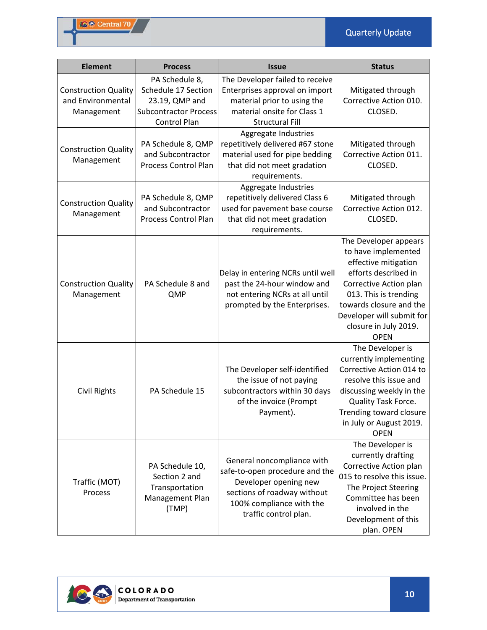| <b>Element</b>                                                 | <b>Process</b>                                                                                          | <b>Issue</b>                                                                                                                                                              | <b>Status</b>                                                                                                                                                                                                                                   |
|----------------------------------------------------------------|---------------------------------------------------------------------------------------------------------|---------------------------------------------------------------------------------------------------------------------------------------------------------------------------|-------------------------------------------------------------------------------------------------------------------------------------------------------------------------------------------------------------------------------------------------|
| <b>Construction Quality</b><br>and Environmental<br>Management | PA Schedule 8,<br>Schedule 17 Section<br>23.19, QMP and<br><b>Subcontractor Process</b><br>Control Plan | The Developer failed to receive<br>Enterprises approval on import<br>material prior to using the<br>material onsite for Class 1<br><b>Structural Fill</b>                 | Mitigated through<br>Corrective Action 010.<br>CLOSED.                                                                                                                                                                                          |
| <b>Construction Quality</b><br>Management                      | PA Schedule 8, QMP<br>and Subcontractor<br>Process Control Plan                                         | Aggregate Industries<br>repetitively delivered #67 stone<br>material used for pipe bedding<br>that did not meet gradation<br>requirements.                                | Mitigated through<br>Corrective Action 011.<br>CLOSED.                                                                                                                                                                                          |
| <b>Construction Quality</b><br>Management                      | PA Schedule 8, QMP<br>and Subcontractor<br>Process Control Plan                                         | Aggregate Industries<br>repetitively delivered Class 6<br>used for pavement base course<br>that did not meet gradation<br>requirements.                                   | Mitigated through<br>Corrective Action 012.<br>CLOSED.                                                                                                                                                                                          |
| <b>Construction Quality</b><br>Management                      | PA Schedule 8 and<br>QMP                                                                                | Delay in entering NCRs until well<br>past the 24-hour window and<br>not entering NCRs at all until<br>prompted by the Enterprises.                                        | The Developer appears<br>to have implemented<br>effective mitigation<br>efforts described in<br>Corrective Action plan<br>013. This is trending<br>towards closure and the<br>Developer will submit for<br>closure in July 2019.<br><b>OPEN</b> |
| <b>Civil Rights</b>                                            | PA Schedule 15                                                                                          | The Developer self-identified<br>the issue of not paying<br>subcontractors within 30 days<br>of the invoice (Prompt<br>Payment).                                          | The Developer is<br>currently implementing<br>Corrective Action 014 to<br>resolve this issue and<br>discussing weekly in the<br>Quality Task Force.<br>Trending toward closure<br>in July or August 2019.<br><b>OPEN</b>                        |
| Traffic (MOT)<br>Process                                       | PA Schedule 10,<br>Section 2 and<br>Transportation<br>Management Plan<br>(TMP)                          | General noncompliance with<br>safe-to-open procedure and the<br>Developer opening new<br>sections of roadway without<br>100% compliance with the<br>traffic control plan. | The Developer is<br>currently drafting<br>Corrective Action plan<br>015 to resolve this issue.<br>The Project Steering<br>Committee has been<br>involved in the<br>Development of this<br>plan. OPEN                                            |

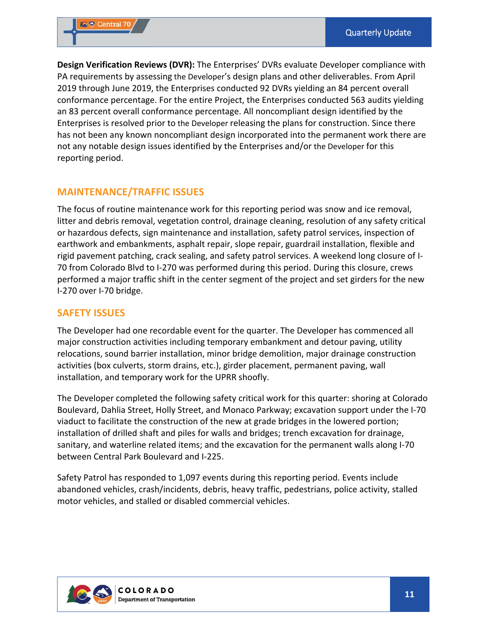**Design Verification Reviews (DVR):** The Enterprises' DVRs evaluate Developer compliance with PA requirements by assessing the Developer's design plans and other deliverables. From April 2019 through June 2019, the Enterprises conducted 92 DVRs yielding an 84 percent overall conformance percentage. For the entire Project, the Enterprises conducted 563 audits yielding an 83 percent overall conformance percentage. All noncompliant design identified by the Enterprises is resolved prior to the Developer releasing the plans for construction. Since there has not been any known noncompliant design incorporated into the permanent work there are not any notable design issues identified by the Enterprises and/or the Developer for this reporting period.

## **MAINTENANCE/TRAFFIC ISSUES**

The focus of routine maintenance work for this reporting period was snow and ice removal, litter and debris removal, vegetation control, drainage cleaning, resolution of any safety critical or hazardous defects, sign maintenance and installation, safety patrol services, inspection of earthwork and embankments, asphalt repair, slope repair, guardrail installation, flexible and rigid pavement patching, crack sealing, and safety patrol services. A weekend long closure of I‐ 70 from Colorado Blvd to I‐270 was performed during this period. During this closure, crews performed a major traffic shift in the center segment of the project and set girders for the new I‐270 over I‐70 bridge.

#### **SAFETY ISSUES**

The Developer had one recordable event for the quarter. The Developer has commenced all major construction activities including temporary embankment and detour paving, utility relocations, sound barrier installation, minor bridge demolition, major drainage construction activities (box culverts, storm drains, etc.), girder placement, permanent paving, wall installation, and temporary work for the UPRR shoofly.

The Developer completed the following safety critical work for this quarter: shoring at Colorado Boulevard, Dahlia Street, Holly Street, and Monaco Parkway; excavation support under the I‐70 viaduct to facilitate the construction of the new at grade bridges in the lowered portion; installation of drilled shaft and piles for walls and bridges; trench excavation for drainage, sanitary, and waterline related items; and the excavation for the permanent walls along I-70 between Central Park Boulevard and I‐225.

Safety Patrol has responded to 1,097 events during this reporting period. Events include abandoned vehicles, crash/incidents, debris, heavy traffic, pedestrians, police activity, stalled motor vehicles, and stalled or disabled commercial vehicles.

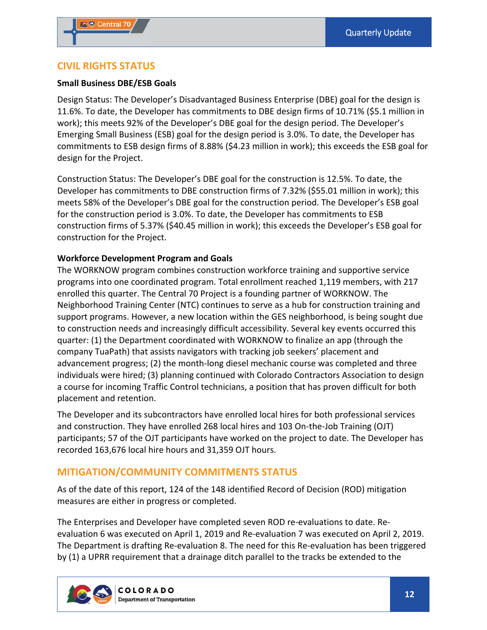#### **CIVIL RIGHTS STATUS**

#### **Small Business DBE/ESB Goals**

Design Status: The Developer's Disadvantaged Business Enterprise (DBE) goal for the design is 11.6%. To date, the Developer has commitments to DBE design firms of 10.71% (\$5.1 million in work); this meets 92% of the Developer's DBE goal for the design period. The Developer's Emerging Small Business (ESB) goal for the design period is 3.0%. To date, the Developer has commitments to ESB design firms of 8.88% (\$4.23 million in work); this exceeds the ESB goal for design for the Project.

Construction Status: The Developer's DBE goal for the construction is 12.5%. To date, the Developer has commitments to DBE construction firms of 7.32% (\$55.01 million in work); this meets 58% of the Developer's DBE goal for the construction period. The Developer's ESB goal for the construction period is 3.0%. To date, the Developer has commitments to ESB construction firms of 5.37% (\$40.45 million in work); this exceeds the Developer's ESB goal for construction for the Project.

#### **Workforce Development Program and Goals**

The WORKNOW program combines construction workforce training and supportive service programs into one coordinated program. Total enrollment reached 1,119 members, with 217 enrolled this quarter. The Central 70 Project is a founding partner of WORKNOW. The Neighborhood Training Center (NTC) continues to serve as a hub for construction training and support programs. However, a new location within the GES neighborhood, is being sought due to construction needs and increasingly difficult accessibility. Several key events occurred this quarter: (1) the Department coordinated with WORKNOW to finalize an app (through the company TuaPath) that assists navigators with tracking job seekers' placement and advancement progress; (2) the month‐long diesel mechanic course was completed and three individuals were hired; (3) planning continued with Colorado Contractors Association to design a course for incoming Traffic Control technicians, a position that has proven difficult for both placement and retention.

The Developer and its subcontractors have enrolled local hires for both professional services and construction. They have enrolled 268 local hires and 103 On‐the‐Job Training (OJT) participants; 57 of the OJT participants have worked on the project to date. The Developer has recorded 163,676 local hire hours and 31,359 OJT hours.

## **MITIGATION/COMMUNITY COMMITMENTS STATUS**

As of the date of this report, 124 of the 148 identified Record of Decision (ROD) mitigation measures are either in progress or completed.

The Enterprises and Developer have completed seven ROD re‐evaluations to date. Re‐ evaluation 6 was executed on April 1, 2019 and Re‐evaluation 7 was executed on April 2, 2019. The Department is drafting Re‐evaluation 8. The need for this Re‐evaluation has been triggered by (1) a UPRR requirement that a drainage ditch parallel to the tracks be extended to the

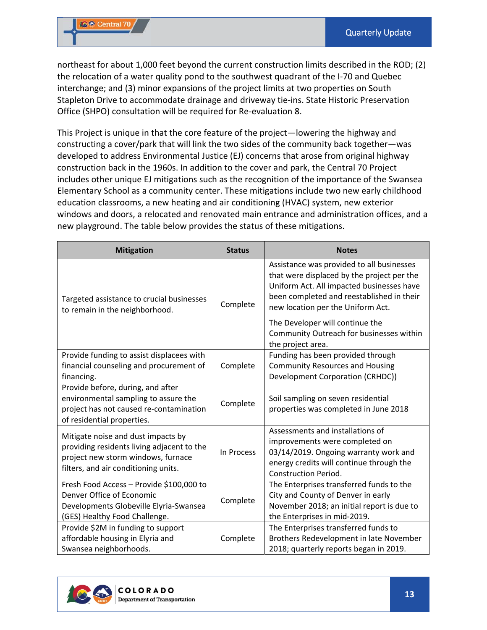northeast for about 1,000 feet beyond the current construction limits described in the ROD; (2) the relocation of a water quality pond to the southwest quadrant of the I‐70 and Quebec interchange; and (3) minor expansions of the project limits at two properties on South Stapleton Drive to accommodate drainage and driveway tie‐ins. State Historic Preservation Office (SHPO) consultation will be required for Re‐evaluation 8.

This Project is unique in that the core feature of the project—lowering the highway and constructing a cover/park that will link the two sides of the community back together—was developed to address Environmental Justice (EJ) concerns that arose from original highway construction back in the 1960s. In addition to the cover and park, the Central 70 Project includes other unique EJ mitigations such as the recognition of the importance of the Swansea Elementary School as a community center. These mitigations include two new early childhood education classrooms, a new heating and air conditioning (HVAC) system, new exterior windows and doors, a relocated and renovated main entrance and administration offices, and a new playground. The table below provides the status of these mitigations.

| <b>Mitigation</b>                                                                                                                                              | <b>Status</b> | <b>Notes</b>                                                                                                                                                                                                           |
|----------------------------------------------------------------------------------------------------------------------------------------------------------------|---------------|------------------------------------------------------------------------------------------------------------------------------------------------------------------------------------------------------------------------|
| Targeted assistance to crucial businesses<br>to remain in the neighborhood.                                                                                    | Complete      | Assistance was provided to all businesses<br>that were displaced by the project per the<br>Uniform Act. All impacted businesses have<br>been completed and reestablished in their<br>new location per the Uniform Act. |
|                                                                                                                                                                |               | The Developer will continue the<br>Community Outreach for businesses within<br>the project area.                                                                                                                       |
| Provide funding to assist displacees with                                                                                                                      |               | Funding has been provided through                                                                                                                                                                                      |
| financial counseling and procurement of                                                                                                                        | Complete      | <b>Community Resources and Housing</b>                                                                                                                                                                                 |
| financing.                                                                                                                                                     |               | Development Corporation (CRHDC))                                                                                                                                                                                       |
| Provide before, during, and after<br>environmental sampling to assure the<br>project has not caused re-contamination<br>of residential properties.             | Complete      | Soil sampling on seven residential<br>properties was completed in June 2018                                                                                                                                            |
| Mitigate noise and dust impacts by<br>providing residents living adjacent to the<br>project new storm windows, furnace<br>filters, and air conditioning units. | In Process    | Assessments and installations of<br>improvements were completed on<br>03/14/2019. Ongoing warranty work and<br>energy credits will continue through the<br><b>Construction Period.</b>                                 |
| Fresh Food Access - Provide \$100,000 to<br>Denver Office of Economic<br>Developments Globeville Elyria-Swansea<br>(GES) Healthy Food Challenge.               | Complete      | The Enterprises transferred funds to the<br>City and County of Denver in early<br>November 2018; an initial report is due to<br>the Enterprises in mid-2019.                                                           |
| Provide \$2M in funding to support<br>affordable housing in Elyria and<br>Swansea neighborhoods.                                                               | Complete      | The Enterprises transferred funds to<br>Brothers Redevelopment in late November<br>2018; quarterly reports began in 2019.                                                                                              |